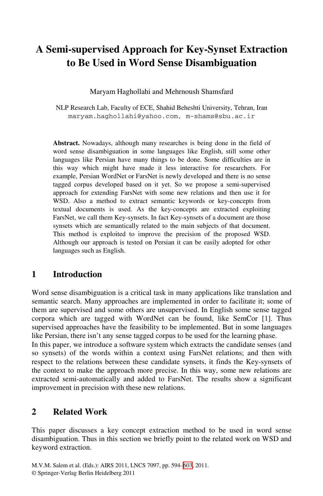# **A Semi-supervised Approach for Key-Synset Extraction to Be Used in Word Sense Disambiguation**

Maryam Haghollahi and Mehrnoush Shamsfard

NLP Research Lab, Faculty of ECE, Shahid Beheshti University, Tehran, Iran maryam.haghollahi@yahoo.com, m-shams@sbu.ac.ir

**Abstract.** Nowadays, although many researches is being done in the field of word sense disambiguation in some languages like English, still some other languages like Persian have many things to be done. Some difficulties are in this way which might have made it less interactive for researchers. For example, Persian WordNet or FarsNet is newly developed and there is no sense tagged corpus developed based on it yet. So we propose a semi-supervised approach for extending FarsNet with some new relations and then use it for WSD. Also a method to extract semantic keywords or key-concepts from textual documents is used. As the key-concepts are extracted exploiting FarsNet, we call them Key-synsets. In fact Key-synsets of a document are those synsets which are semantically related to the main subjects of that document. This method is exploited to improve the precision of the proposed WSD. Although our approach is tested on Persian it can be easily adopted for other languages such as English.

#### **1 Introduction**

Word sense disambiguation is a critical task in many applications like translation and semantic search. Many approaches are implemented in order to facilitate it; some of them are supervised and some others are unsupervised. In English some sense tagged corpora which are tagged with WordNet can be found, like SemCor [1]. Thus supervised approaches have the feasibility to be implemented. But in some languages like Persian, there isn't any sense tagged corpus to be used for the learning phase.

In this paper, we introduce a software system which extracts the candidate senses (and so synsets) of the words within a context using FarsNet relations; and then with respect to the relations between these candidate synsets, it finds the Key-synsets of the context to make the approach more precise. In this way, some new relations are extracted semi-automatically and added to FarsNet. The results show a significant improvement in precision with these new relations.

### **2 Related Work**

This paper discusses a key concept extraction method to be used in word sense disambiguation. Thus in this section we briefly point to the related work on WSD and keyword extraction.

M.V.M. Salem et al. (Eds.): AIRS 2011, LNCS 7097, pp. 594–603, 2011. © Springer-Verlag Berlin Heidelberg 2011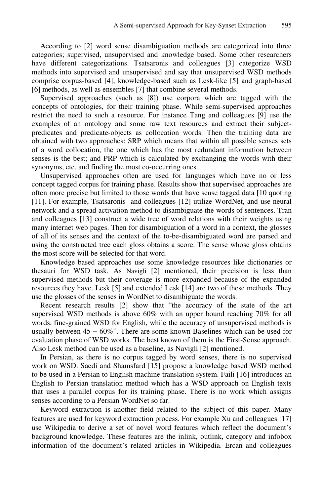According to [2] word sense disambiguation methods are categorized into three categories; supervised, unsupervised and knowledge based. Some other researchers have different categorizations. Tsatsaronis and colleagues [3] categorize WSD methods into supervised and unsupervised and say that unsupervised WSD methods comprise corpus-based [4], knowledge-based such as Lesk-like [5] and graph-based [6] methods, as well as ensembles [7] that combine several methods.

Supervised approaches (such as [8]) use corpora which are tagged with the concepts of ontologies, for their training phase. While semi-supervised approaches restrict the need to such a resource. For instance Tang and colleagues [9] use the examples of an ontology and some raw text resources and extract their subjectpredicates and predicate-objects as collocation words. Then the training data are obtained with two approaches: SRP which means that within all possible senses sets of a word collocation, the one which has the most redundant information between senses is the best; and PRP which is calculated by exchanging the words with their synonyms, etc. and finding the most co-occurring ones.

Unsupervised approaches often are used for languages which have no or less concept tagged corpus for training phase. Results show that supervised approaches are often more precise but limited to those words that have sense tagged data [10 quoting [11]. For example, Tsatsaronis and colleagues [12] utilize WordNet, and use neural network and a spread activation method to disambiguate the words of sentences. Tran and colleagues [13] construct a wide tree of word relations with their weights using many internet web pages. Then for disambiguation of a word in a context, the glosses of all of its senses and the context of the to-be-disambiguated word are parsed and using the constructed tree each gloss obtains a score. The sense whose gloss obtains the most score will be selected for that word.

Knowledge based approaches use some knowledge resources like dictionaries or thesauri for WSD task. As Navigli [2] mentioned, their precision is less than supervised methods but their coverage is more expanded because of the expanded resources they have. Lesk [5] and extended Lesk [14] are two of these methods. They use the glosses of the senses in WordNet to disambiguate the words.

Recent research results [2] show that "the accuracy of the state of the art supervised WSD methods is above 60% with an upper bound reaching 70% for all words, fine-grained WSD for English, while the accuracy of unsupervised methods is usually between  $45 - 60\%$ ". There are some known Baselines which can be used for evaluation phase of WSD works. The best known of them is the First-Sense approach. Also Lesk method can be used as a baseline, as Navigli [2] mentioned.

In Persian, as there is no corpus tagged by word senses, there is no supervised work on WSD. Saedi and Shamsfard [15] propose a knowledge based WSD method to be used in a Persian to English machine translation system. Faili [16] introduces an English to Persian translation method which has a WSD approach on English texts that uses a parallel corpus for its training phase. There is no work which assigns senses according to a Persian WordNet so far.

Keyword extraction is another field related to the subject of this paper. Many features are used for keyword extraction process. For example Xu and colleagues [17] use Wikipedia to derive a set of novel word features which reflect the document's background knowledge. These features are the inlink, outlink, category and infobox information of the document's related articles in Wikipedia. Ercan and colleagues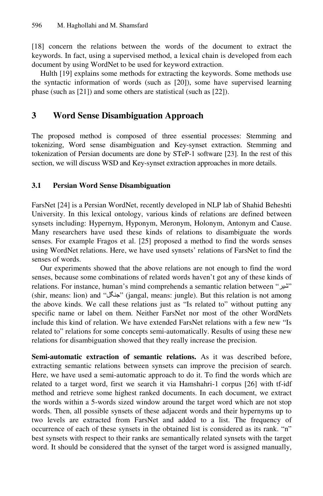[18] concern the relations between the words of the document to extract the keywords. In fact, using a supervised method, a lexical chain is developed from each document by using WordNet to be used for keyword extraction.

Hulth [19] explains some methods for extracting the keywords. Some methods use the syntactic information of words (such as [20]), some have supervised learning phase (such as [21]) and some others are statistical (such as [22]).

## **3 Word Sense Disambiguation Approach**

The proposed method is composed of three essential processes: Stemming and tokenizing, Word sense disambiguation and Key-synset extraction. Stemming and tokenization of Persian documents are done by STeP-1 software [23]. In the rest of this section, we will discuss WSD and Key-synset extraction approaches in more details.

### **3.1 Persian Word Sense Disambiguation**

FarsNet [24] is a Persian WordNet, recently developed in NLP lab of Shahid Beheshti University. In this lexical ontology, various kinds of relations are defined between synsets including: Hypernym, Hyponym, Meronym, Holonym, Antonym and Cause. Many researchers have used these kinds of relations to disambiguate the words senses. For example Fragos et al. [25] proposed a method to find the words senses using WordNet relations. Here, we have used synsets' relations of FarsNet to find the senses of words.

Our experiments showed that the above relations are not enough to find the word senses, because some combinations of related words haven't got any of these kinds of relations. For instance, human's mind comprehends a semantic relation between "شير " (shir, means: lion) and "جنگل) "jangal, means: jungle). But this relation is not among the above kinds. We call these relations just as "Is related to" without putting any specific name or label on them. Neither FarsNet nor most of the other WordNets include this kind of relation. We have extended FarsNet relations with a few new "Is related to" relations for some concepts semi-automatically. Results of using these new relations for disambiguation showed that they really increase the precision.

**Semi-automatic extraction of semantic relations.** As it was described before, extracting semantic relations between synsets can improve the precision of search. Here, we have used a semi-automatic approach to do it. To find the words which are related to a target word, first we search it via Hamshahri-1 corpus [26] with tf-idf method and retrieve some highest ranked documents. In each document, we extract the words within a 5-words sized window around the target word which are not stop words. Then, all possible synsets of these adjacent words and their hypernyms up to two levels are extracted from FarsNet and added to a list. The frequency of occurrence of each of these synsets in the obtained list is considered as its rank. "n" best synsets with respect to their ranks are semantically related synsets with the target word. It should be considered that the synset of the target word is assigned manually,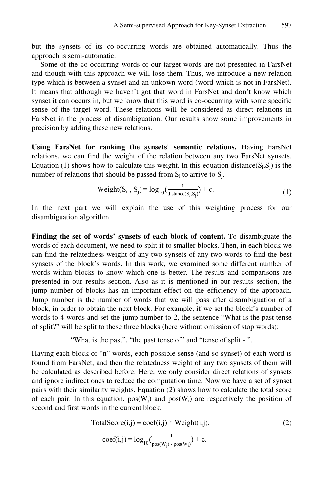but the synsets of its co-occurring words are obtained automatically. Thus the approach is semi-automatic.

Some of the co-occurring words of our target words are not presented in FarsNet and though with this approach we will lose them. Thus, we introduce a new relation type which is between a synset and an unkown word (word which is not in FarsNet). It means that although we haven't got that word in FarsNet and don't know which synset it can occurs in, but we know that this word is co-occurring with some specific sense of the target word. These relations will be considered as direct relations in FarsNet in the process of disambiguation. Our results show some improvements in precision by adding these new relations.

**Using FarsNet for ranking the synsets' semantic relations.** Having FarsNet relations, we can find the weight of the relation between any two FarsNet synsets. Equation (1) shows how to calculate this weight. In this equation distance( $S_i, S_j$ ) is the number of relations that should be passed from  $S_i$  to arrive to  $S_i$ .

$$
Weight(S_i, S_j) = log_{10}(\frac{1}{distance(S_i, S_j)}) + c.
$$
\n(1)

In the next part we will explain the use of this weighting process for our disambiguation algorithm.

**Finding the set of words' synsets of each block of content.** To disambiguate the words of each document, we need to split it to smaller blocks. Then, in each block we can find the relatedness weight of any two synsets of any two words to find the best synsets of the block's words. In this work, we examined some different number of words within blocks to know which one is better. The results and comparisons are presented in our results section. Also as it is mentioned in our results section, the jump number of blocks has an important effect on the efficiency of the approach. Jump number is the number of words that we will pass after disambiguation of a block, in order to obtain the next block. For example, if we set the block's number of words to 4 words and set the jump number to 2, the sentence "What is the past tense of split?" will be split to these three blocks (here without omission of stop words):

"What is the past", "the past tense of" and "tense of split -".

Having each block of "n" words, each possible sense (and so synset) of each word is found from FarsNet, and then the relatedness weight of any two synsets of them will be calculated as described before. Here, we only consider direct relations of synsets and ignore indirect ones to reduce the computation time. Now we have a set of synset pairs with their similarity weights. Equation (2) shows how to calculate the total score of each pair. In this equation,  $pos(W_i)$  and  $pos(W_i)$  are respectively the position of second and first words in the current block.

$$
TotalScore(i,j) = coeff(i,j) * Weight(i,j).
$$
\n(2)

$$
coef(i,j) = log_{10}(\frac{1}{pos(W_j) - pos(W_i)}) + c.
$$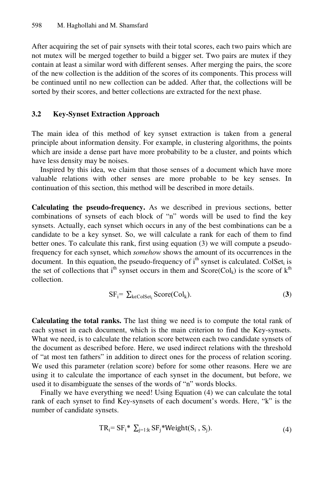After acquiring the set of pair synsets with their total scores, each two pairs which are not mutex will be merged together to build a bigger set. Two pairs are mutex if they contain at least a similar word with different senses. After merging the pairs, the score of the new collection is the addition of the scores of its components. This process will be continued until no new collection can be added. After that, the collections will be sorted by their scores, and better collections are extracted for the next phase.

#### **3.2 Key-Synset Extraction Approach**

The main idea of this method of key synset extraction is taken from a general principle about information density. For example, in clustering algorithms, the points which are inside a dense part have more probability to be a cluster, and points which have less density may be noises.

Inspired by this idea, we claim that those senses of a document which have more valuable relations with other senses are more probable to be key senses. In continuation of this section, this method will be described in more details.

**Calculating the pseudo-frequency.** As we described in previous sections, better combinations of synsets of each block of "n" words will be used to find the key synsets. Actually, each synset which occurs in any of the best combinations can be a candidate to be a key synset. So, we will calculate a rank for each of them to find better ones. To calculate this rank, first using equation (3) we will compute a pseudofrequency for each synset, which *somehow* shows the amount of its occurrences in the document. In this equation, the pseudo-frequency of  $i<sup>th</sup>$  synset is calculated. ColSet<sub>i</sub> is the set of collections that i<sup>th</sup> synset occurs in them and  $Score(Col_k)$  is the score of  $k^{th}$ collection.

$$
SF_i = \sum_{k \in ColSet_i} Score(Col_k). \tag{3}
$$

**Calculating the total ranks.** The last thing we need is to compute the total rank of each synset in each document, which is the main criterion to find the Key-synsets. What we need, is to calculate the relation score between each two candidate synsets of the document as described before. Here, we used indirect relations with the threshold of "at most ten fathers" in addition to direct ones for the process of relation scoring. We used this parameter (relation score) before for some other reasons. Here we are using it to calculate the importance of each synset in the document, but before, we used it to disambiguate the senses of the words of "n" words blocks.

Finally we have everything we need! Using Equation (4) we can calculate the total rank of each synset to find Key-synsets of each document's words. Here, "k" is the number of candidate synsets.

$$
TR_i = SF_i^* \sum_{j=1:k} SF_j^* Weight(S_i, S_j). \tag{4}
$$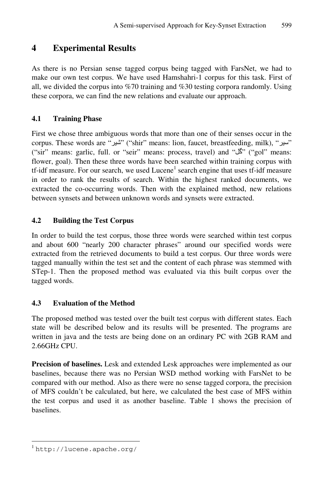### **4 Experimental Results**

As there is no Persian sense tagged corpus being tagged with FarsNet, we had to make our own test corpus. We have used Hamshahri-1 corpus for this task. First of all, we divided the corpus into %70 training and %30 testing corpora randomly. Using these corpora, we can find the new relations and evaluate our approach.

### **4.1 Training Phase**

First we chose three ambiguous words that more than one of their senses occur in the corpus. These words are "شير") "shir" means: lion, faucet, breastfeeding, milk), "سير " ("sir" means: garlic, full. or "seir" means: process, travel) and "گل") "gol" means: flower, goal). Then these three words have been searched within training corpus with tf-idf measure. For our search, we used  $Lucene<sup>1</sup>$  search engine that uses tf-idf measure in order to rank the results of search. Within the highest ranked documents, we extracted the co-occurring words. Then with the explained method, new relations between synsets and between unknown words and synsets were extracted.

### **4.2 Building the Test Corpus**

In order to build the test corpus, those three words were searched within test corpus and about 600 "nearly 200 character phrases" around our specified words were extracted from the retrieved documents to build a test corpus. Our three words were tagged manually within the test set and the content of each phrase was stemmed with STep-1. Then the proposed method was evaluated via this built corpus over the tagged words.

#### **4.3 Evaluation of the Method**

The proposed method was tested over the built test corpus with different states. Each state will be described below and its results will be presented. The programs are written in java and the tests are being done on an ordinary PC with 2GB RAM and 2.66GHz CPU.

**Precision of baselines.** Lesk and extended Lesk approaches were implemented as our baselines, because there was no Persian WSD method working with FarsNet to be compared with our method. Also as there were no sense tagged corpora, the precision of MFS couldn't be calculated, but here, we calculated the best case of MFS within the test corpus and used it as another baseline. Table 1 shows the precision of baselines.

j

<sup>1</sup> http://lucene.apache.org/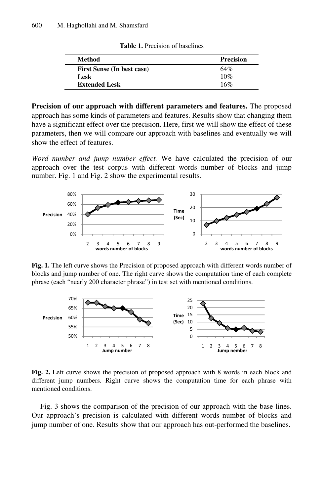| Method                            | <b>Precision</b> |
|-----------------------------------|------------------|
| <b>First Sense (In best case)</b> | 64%              |
| Lesk                              | 10%              |
| <b>Extended Lesk</b>              | 16%              |

**Table 1.** Precision of baselines

**Precision of our approach with different parameters and features.** The proposed approach has some kinds of parameters and features. Results show that changing them have a significant effect over the precision. Here, first we will show the effect of these parameters, then we will compare our approach with baselines and eventually we will show the effect of features.

*Word number and jump number effect.* We have calculated the precision of our approach over the test corpus with different words number of blocks and jump number. Fig. 1 and Fig. 2 show the experimental results.



**Fig. 1.** The left curve shows the Precision of proposed approach with different words number of blocks and jump number of one. The right curve shows the computation time of each complete phrase (each "nearly 200 character phrase") in test set with mentioned conditions.



**Fig. 2.** Left curve shows the precision of proposed approach with 8 words in each block and different jump numbers. Right curve shows the computation time for each phrase with mentioned conditions.

Fig. 3 shows the comparison of the precision of our approach with the base lines. Our approach's precision is calculated with different words number of blocks and jump number of one. Results show that our approach has out-performed the baselines.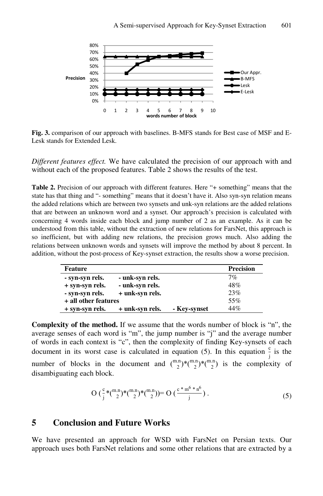

**Fig. 3.** comparison of our approach with baselines. B-MFS stands for Best case of MSF and E-Lesk stands for Extended Lesk.

*Different features effect.* We have calculated the precision of our approach with and without each of the proposed features. Table 2 shows the results of the test.

**Table 2.** Precision of our approach with different features. Here "+ something" means that the state has that thing and "- something" means that it doesn't have it. Also syn-syn relation means the added relations which are between two synsets and unk-syn relations are the added relations that are between an unknown word and a synset. Our approach's precision is calculated with concerning 4 words inside each block and jump number of 2 as an example. As it can be understood from this table, without the extraction of new relations for FarsNet, this approach is so inefficient, but with adding new relations, the precision grows much. Also adding the relations between unknown words and synsets will improve the method by about 8 percent. In addition, without the post-process of Key-synset extraction, the results show a worse precision.

| Feature              |                 |              | <b>Precision</b> |
|----------------------|-----------------|--------------|------------------|
| - syn-syn rels.      | - unk-syn rels. |              | $7\%$            |
| + syn-syn rels.      | - unk-syn rels. |              | 48%              |
| - syn-syn rels.      | + unk-syn rels. |              | 23%              |
| + all other features |                 | 55%          |                  |
| + syn-syn rels.      | + unk-syn rels. | - Key-synset | 44%              |

**Complexity of the method.** If we assume that the words number of block is "n", the average senses of each word is "m", the jump number is "j" and the average number of words in each context is "c", then the complexity of finding Key-synsets of each document in its worst case is calculated in equation (5). In this equation  $\frac{c}{i}$  is the number of blocks in the document and  $\binom{m,n}{2}$ <sup>\*</sup>( $\binom{m,n}{2}$ )<sup>\*</sup>( $\binom{m,n}{2}$ ) is the complexity of disambiguating each block.

$$
O\left(\frac{c}{j} * {m.n \choose 2} * {m.n \choose 2} * {m.n \choose 2}\right) = O\left(\frac{c * m^6 * n^6}{j}\right). \tag{5}
$$

### **5 Conclusion and Future Works**

We have presented an approach for WSD with FarsNet on Persian texts. Our approach uses both FarsNet relations and some other relations that are extracted by a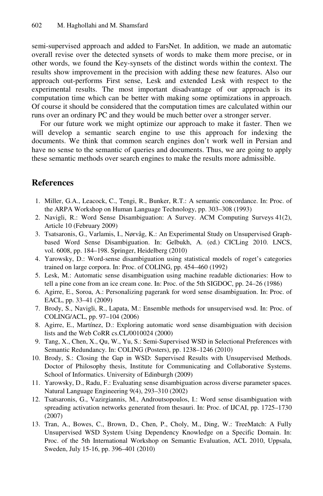semi-supervised approach and added to FarsNet. In addition, we made an automatic overall revise over the detected synsets of words to make them more precise, or in other words, we found the Key-synsets of the distinct words within the context. The results show improvement in the precision with adding these new features. Also our approach out-performs First sense, Lesk and extended Lesk with respect to the experimental results. The most important disadvantage of our approach is its computation time which can be better with making some optimizations in approach. Of course it should be considered that the computation times are calculated within our runs over an ordinary PC and they would be much better over a stronger server.

For our future work we might optimize our approach to make it faster. Then we will develop a semantic search engine to use this approach for indexing the documents. We think that common search engines don't work well in Persian and have no sense to the semantic of queries and documents. Thus, we are going to apply these semantic methods over search engines to make the results more admissible.

### **References**

- 1. Miller, G.A., Leacock, C., Tengi, R., Bunker, R.T.: A semantic concordance. In: Proc. of the ARPA Workshop on Human Language Technology, pp. 303–308 (1993)
- 2. Navigli, R.: Word Sense Disambiguation: A Survey. ACM Computing Surveys 41(2), Article 10 (February 2009)
- 3. Tsatsaronis, G., Varlamis, I., Nørvåg, K.: An Experimental Study on Unsupervised Graphbased Word Sense Disambiguation. In: Gelbukh, A. (ed.) CICLing 2010. LNCS, vol. 6008, pp. 184–198. Springer, Heidelberg (2010)
- 4. Yarowsky, D.: Word-sense disambiguation using statistical models of roget's categories trained on large corpora. In: Proc. of COLING, pp. 454–460 (1992)
- 5. Lesk, M.: Automatic sense disambiguation using machine readable dictionaries: How to tell a pine cone from an ice cream cone. In: Proc. of the 5th SIGDOC, pp. 24–26 (1986)
- 6. Agirre, E., Soroa, A.: Personalizing pagerank for word sense disambiguation. In: Proc. of EACL, pp. 33–41 (2009)
- 7. Brody, S., Navigli, R., Lapata, M.: Ensemble methods for unsupervised wsd. In: Proc. of COLING/ACL, pp. 97–104 (2006)
- 8. Agirre, E., Martínez, D.: Exploring automatic word sense disambiguation with decision lists and the Web CoRR cs.CL/0010024 (2000)
- 9. Tang, X., Chen, X., Qu, W., Yu, S.: Semi-Supervised WSD in Selectional Preferences with Semantic Redundancy. In: COLING (Posters), pp. 1238–1246 (2010)
- 10. Brody, S.: Closing the Gap in WSD: Supervised Results with Unsupervised Methods. Doctor of Philosophy thesis, Institute for Communicating and Collaborative Systems. School of Informatics. University of Edinburgh (2009)
- 11. Yarowsky, D., Radu, F.: Evaluating sense disambiguation across diverse parameter spaces. Natural Language Engineering 9(4), 293–310 (2002)
- 12. Tsatsaronis, G., Vazirgiannis, M., Androutsopoulos, I.: Word sense disambiguation with spreading activation networks generated from thesauri. In: Proc. of IJCAI, pp. 1725–1730 (2007)
- 13. Tran, A., Bowes, C., Brown, D., Chen, P., Choly, M., Ding, W.: TreeMatch: A Fully Unsupervised WSD System Using Dependency Knowledge on a Specific Domain. In: Proc. of the 5th International Workshop on Semantic Evaluation, ACL 2010, Uppsala, Sweden, July 15-16, pp. 396–401 (2010)